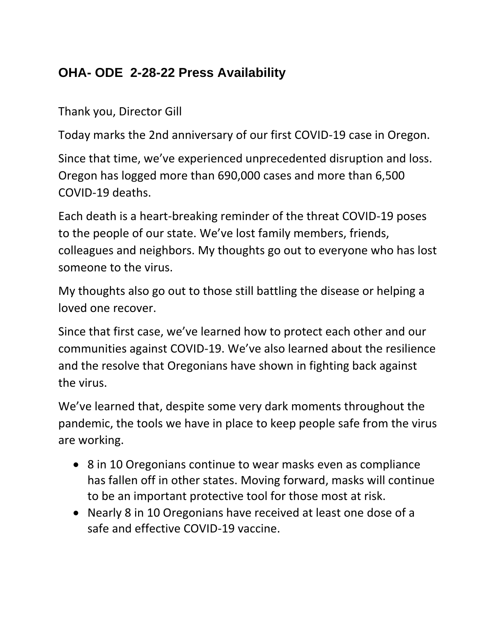## **OHA- ODE 2-28-22 Press Availability**

Thank you, Director Gill

Today marks the 2nd anniversary of our first COVID-19 case in Oregon.

Since that time, we've experienced unprecedented disruption and loss. Oregon has logged more than 690,000 cases and more than 6,500 COVID-19 deaths.

Each death is a heart-breaking reminder of the threat COVID-19 poses to the people of our state. We've lost family members, friends, colleagues and neighbors. My thoughts go out to everyone who has lost someone to the virus.

My thoughts also go out to those still battling the disease or helping a loved one recover.

Since that first case, we've learned how to protect each other and our communities against COVID-19. We've also learned about the resilience and the resolve that Oregonians have shown in fighting back against the virus.

We've learned that, despite some very dark moments throughout the pandemic, the tools we have in place to keep people safe from the virus are working.

- 8 in 10 Oregonians continue to wear masks even as compliance has fallen off in other states. Moving forward, masks will continue to be an important protective tool for those most at risk.
- Nearly 8 in 10 Oregonians have received at least one dose of a safe and effective COVID-19 vaccine.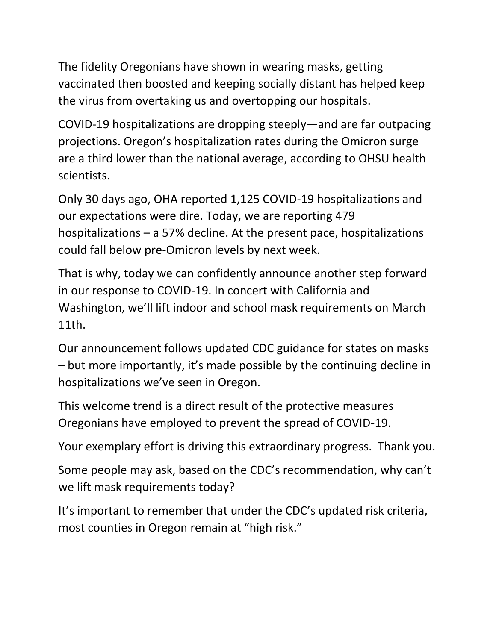The fidelity Oregonians have shown in wearing masks, getting vaccinated then boosted and keeping socially distant has helped keep the virus from overtaking us and overtopping our hospitals.

COVID-19 hospitalizations are dropping steeply—and are far outpacing projections. Oregon's hospitalization rates during the Omicron surge are a third lower than the national average, according to OHSU health scientists.

Only 30 days ago, OHA reported 1,125 COVID-19 hospitalizations and our expectations were dire. Today, we are reporting 479 hospitalizations – a 57% decline. At the present pace, hospitalizations could fall below pre-Omicron levels by next week.

That is why, today we can confidently announce another step forward in our response to COVID-19. In concert with California and Washington, we'll lift indoor and school mask requirements on March 11th.

Our announcement follows updated CDC guidance for states on masks – but more importantly, it's made possible by the continuing decline in hospitalizations we've seen in Oregon.

This welcome trend is a direct result of the protective measures Oregonians have employed to prevent the spread of COVID-19.

Your exemplary effort is driving this extraordinary progress. Thank you.

Some people may ask, based on the CDC's recommendation, why can't we lift mask requirements today?

It's important to remember that under the CDC's updated risk criteria, most counties in Oregon remain at "high risk."